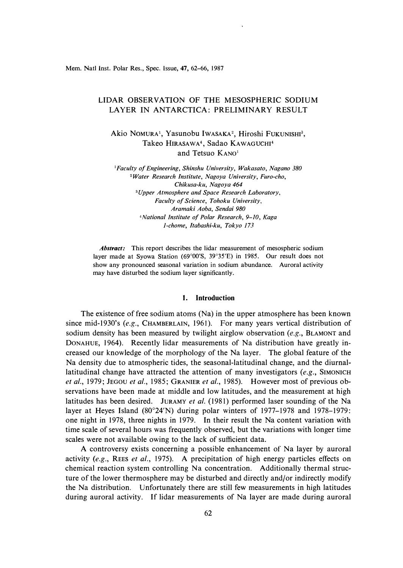Mem. Natl Inst. Polar Res., Spec. Issue, 47, 62-66, 1987

# LIDAR OBSERVATION OF THE MESOSPHERIC SODIUM LAYER IN ANTARCTICA: PRELIMINARY RESULT

Akio Nomura<sup>1</sup>, Yasunobu Iwasaka<sup>2</sup>, Hiroshi Fukunishi<sup>3</sup>, **Takeo HIRASAWA<sup>4</sup> , Sadao KAWAGUCHI<sup>4</sup>** and Tetsuo KANO<sup>1</sup>

*<sup>1</sup>Faculty of Engineering, Shinshu University, Wakasato, Nagano 380 <sup>2</sup> Water Research Institute, Nagoya University, Furo-cho, Chikusa-ku, Nagoya 464 <sup>3</sup>Upper Atmosphere and Space Research Laboratory, Faculty of Science, Tohoku University, Aramaki Aoba, Sendai 980 <sup>4</sup>National Institute of Polar Research, 9-10, Kaga 1-chome, Itabashi-ku, Tokyo 173* 

*Abstract:* This report describes the lidar measurement of mesospheric sodium layer made at Syowa Station (69°00'S, 39° 35'E) in 1985. Our result does not show any pronounced seasonal variation in sodium abundance. Auroral activity may have disturbed the sodium layer significantly.

### **I. Introduction**

The existence of free sodium atoms (Na) in the upper atmosphere has been known since mid-1930's *(e.g.,* CHAMBERLAIN, 1961). For many years vertical distribution of sodium density has been measured by twilight airglow observation *(e.g.,* BLAMONT and DONAHUE, 1964). Recently lidar measurements of Na distribution have greatly increased our knowledge of the morphology of the Na layer. The global feature of the Na density due to atmospheric tides, the seasonal-latitudinal change, and the diurnallatitudinal change have attracted the attention of many investigators *(e.g.,* SIMONICH *et al.,* 1979; JEGOU *et al.,* 1985; GRANIER *et al.,* I 985). However most of previous observations have been made at middle and low latitudes, and the measurement at high latitudes has been desired. JURAMY *et al.* (1981) performed laser sounding of the Na layer at Heyes Island (80° 24'N) during polar winters of 1977-1978 and 1978-1979: one night in 1978, three nights in 1979. In their result the Na content variation with time scale of several hours was frequently observed, but the variations with longer time scales were not available owing to the lack of sufficient data.

A controversy exists concerning a possible enhancement of Na layer by auroral activity (e.g., REES *et al.*, 1975). A precipitation of high energy particles effects on chemical reaction system controlling Na concentration. Additionally thermal structure of the lower thermosphere may be disturbed and directly and/or indirectly modify the Na distribution. Unfortunately there are still few measurements in high latitudes during auroral activity. If lidar measurements of Na layer are made during auroral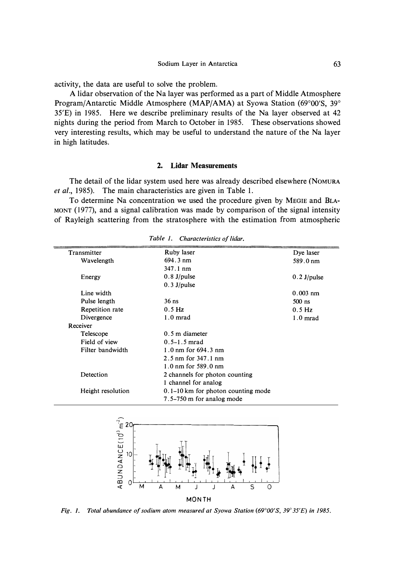activity, the data are useful to solve the problem.

A lidar observation of the Na layer was performed as a part of Middle Atmosphere Program/Antarctic Middle Atmosphere (MAP/AMA) at Syowa Station (69° 00'S, 39° 35'E) in 1985. Here we describe preliminary results of the Na layer observed at 42 nights during the period from March to October in 1985. These observations showed very interesting results, which may be useful to understand the nature of the Na layer in high latitudes.

### **2. Lidar Measurements**

The detail of the lidar system used here was already described elsewhere (NOMURA *et al.,* 1985). The main characteristics are given in Table 1.

To determine Na concentration we used the procedure given by MEGIE and BLA-MONT ( 1977), and a signal calibration was made by comparison of the signal intensity of Rayleigh scattering from the stratosphere with the estimation from atmospheric

| Transmitter       | Ruby laser                                    | Dye laser     |
|-------------------|-----------------------------------------------|---------------|
| Wavelength        | $694.3 \text{ nm}$                            | 589.0 nm      |
|                   | $347.1 \text{ nm}$                            |               |
| Energy            | $0.8$ J/pulse                                 | $0.2$ J/pulse |
|                   | $0.3$ J/pulse                                 |               |
| Line width        |                                               | $0.003$ nm    |
| Pulse length      | $36$ ns                                       | $500$ ns      |
| Repetition rate   | $0.5$ Hz                                      | $0.5$ Hz      |
| Divergence        | $1.0$ mrad                                    | $1.0$ mrad    |
| Receiver          |                                               |               |
| Telescope         | $0.5$ m diameter                              |               |
| Field of view     | $0.5 - 1.5$ mrad                              |               |
| Filter bandwidth  | 1.0 nm for $694.3$ nm                         |               |
|                   | 2.5 nm for $347.1$ nm                         |               |
|                   | $1.0 \text{ nm}$ for 589.0 nm                 |               |
| Detection         | 2 channels for photon counting                |               |
|                   | 1 channel for analog                          |               |
| Height resolution | $0.1-10 \mathrm{km}$ for photon counting mode |               |
|                   | 7.5–750 m for analog mode                     |               |

*Table 1. Characteristics of lidar.* 



*Fig. I. Total abundance of sodium atom measured at Syowa Station (69° 00'S, 39° 35'E) in 1985.*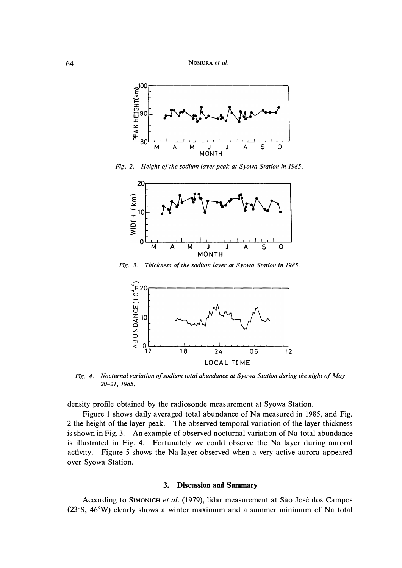

*Fig. 2. Height of the sodium layer peak at Syowa Station in 1985.* 



*Fig. 3. Thickness of the sodium layer at Syowa Station in 1985.* 



*Fig. 4. Nocturnal variation of sodium total abundance at Syowa Station during the night of May 20-21, 1985.* 

density profile obtained by the radiosonde measurement at Syowa Station.

Figure 1 shows daily averaged total abundance of Na measured in 1985, and Fig. 2 the height of the layer peak. The observed temporal variation of the layer thickness is shown in Fig. 3. An example of observed nocturnal variation of Na total abundance is illustrated in Fig. 4. Fortunately we could observe the Na layer during auroral activity. Figure 5 shows the Na layer observed when a very active aurora appeared over Syowa Station.

## **3. Discussion and Summary**

According to SIMONICH et al. (1979), lidar measurement at São José dos Campos (23° S, 46°W) clearly shows a winter maximum and a summer minimum of Na total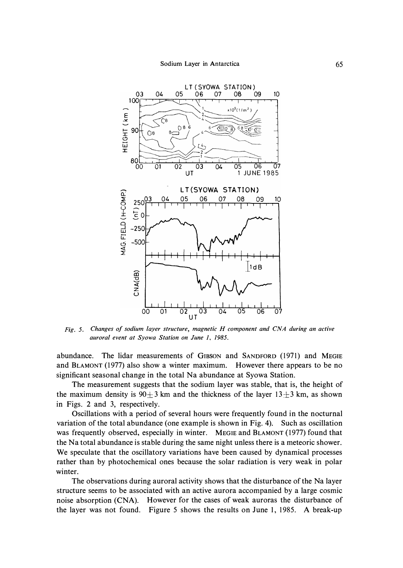

*Fig. 5. Changes of sodium layer structure, magnetic H component and CNA during an active auroral event at Syowa Station on June 1, 1985.* 

abundance. The lidar measurements of GIBSON and SANDFORD (1971) and **MEGIE**  and BLAMONT (1977) also show a winter maximum. However there appears to be no significant seasonal change in the total Na abundance at Syowa Station.

The measurement suggests that the sodium layer was stable, that is, the height of the maximum density is  $90 \pm 3$  km and the thickness of the layer  $13 \pm 3$  km, as shown in Figs. 2 and 3, respectively.

Oscillations with a period of several hours were frequently found in the nocturnal variation of the total abundance (one example is shown in Fig. 4). Such as oscillation was frequently observed, especially in winter. **MEGIE** and BLAMONT (1977) found that the Na total abundance is stable during the same night unless there is a meteoric shower. We speculate that the oscillatory variations have been caused by dynamical processes rather than by photochemical ones because the solar radiation is very weak in polar winter.

The observations during auroral activity shows that the disturbance of the Na layer structure seems to be associated with an active aurora accompanied by a large cosmic noise absorption (CNA). However for the cases of weak auroras the disturbance of the layer was not found. Figure 5 shows the results on June 1, 1985. A break-up